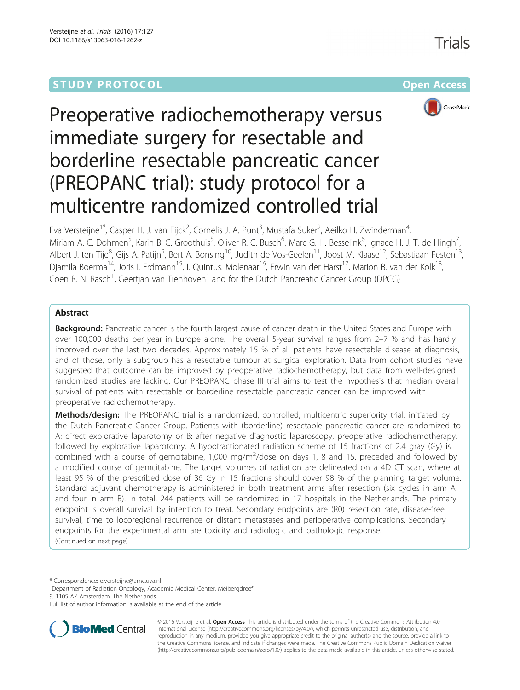# **STUDY PROTOCOL CONSUMING THE RESERVE ACCESS**



Trials

# Preoperative radiochemotherapy versus immediate surgery for resectable and borderline resectable pancreatic cancer (PREOPANC trial): study protocol for a multicentre randomized controlled trial

Eva Versteijne<sup>1\*</sup>, Casper H. J. van Eijck<sup>2</sup>, Cornelis J. A. Punt<sup>3</sup>, Mustafa Suker<sup>2</sup>, Aeilko H. Zwinderman<sup>4</sup> , Miriam A. C. Dohmen<sup>5</sup>, Karin B. C. Groothuis<sup>5</sup>, Oliver R. C. Busch<sup>6</sup>, Marc G. H. Besselink<sup>6</sup>, Ignace H. J. T. de Hingh<sup>7</sup> , Albert J. ten Tije<sup>8</sup>, Gijs A. Patijn<sup>9</sup>, Bert A. Bonsing<sup>10</sup>, Judith de Vos-Geelen<sup>11</sup>, Joost M. Klaase<sup>12</sup>, Sebastiaan Festen<sup>13</sup>, Djamila Boerma<sup>14</sup>, Joris I. Erdmann<sup>15</sup>, I. Quintus. Molenaar<sup>16</sup>, Erwin van der Harst<sup>17</sup>, Marion B. van der Kolk<sup>18</sup>, Coen R. N. Rasch<sup>1</sup>, Geertjan van Tienhoven<sup>1</sup> and for the Dutch Pancreatic Cancer Group (DPCG)

# Abstract

Background: Pancreatic cancer is the fourth largest cause of cancer death in the United States and Europe with over 100,000 deaths per year in Europe alone. The overall 5-year survival ranges from 2–7 % and has hardly improved over the last two decades. Approximately 15 % of all patients have resectable disease at diagnosis, and of those, only a subgroup has a resectable tumour at surgical exploration. Data from cohort studies have suggested that outcome can be improved by preoperative radiochemotherapy, but data from well-designed randomized studies are lacking. Our PREOPANC phase III trial aims to test the hypothesis that median overall survival of patients with resectable or borderline resectable pancreatic cancer can be improved with preoperative radiochemotherapy.

Methods/design: The PREOPANC trial is a randomized, controlled, multicentric superiority trial, initiated by the Dutch Pancreatic Cancer Group. Patients with (borderline) resectable pancreatic cancer are randomized to A: direct explorative laparotomy or B: after negative diagnostic laparoscopy, preoperative radiochemotherapy, followed by explorative laparotomy. A hypofractionated radiation scheme of 15 fractions of 2.4 gray (Gy) is combined with a course of gemcitabine, 1,000 mg/m<sup>2</sup>/dose on days 1, 8 and 15, preceded and followed by a modified course of gemcitabine. The target volumes of radiation are delineated on a 4D CT scan, where at least 95 % of the prescribed dose of 36 Gy in 15 fractions should cover 98 % of the planning target volume. Standard adjuvant chemotherapy is administered in both treatment arms after resection (six cycles in arm A and four in arm B). In total, 244 patients will be randomized in 17 hospitals in the Netherlands. The primary endpoint is overall survival by intention to treat. Secondary endpoints are (R0) resection rate, disease-free survival, time to locoregional recurrence or distant metastases and perioperative complications. Secondary endpoints for the experimental arm are toxicity and radiologic and pathologic response. (Continued on next page)

\* Correspondence: [e.versteijne@amc.uva.nl](mailto:e.versteijne@amc.uva.nl) <sup>1</sup>

<sup>1</sup>Department of Radiation Oncology, Academic Medical Center, Meibergdreef

9, 1105 AZ Amsterdam, The Netherlands

Full list of author information is available at the end of the article



© 2016 Versteijne et al. Open Access This article is distributed under the terms of the Creative Commons Attribution 4.0 International License [\(http://creativecommons.org/licenses/by/4.0/](http://creativecommons.org/licenses/by/4.0/)), which permits unrestricted use, distribution, and reproduction in any medium, provided you give appropriate credit to the original author(s) and the source, provide a link to the Creative Commons license, and indicate if changes were made. The Creative Commons Public Domain Dedication waiver [\(http://creativecommons.org/publicdomain/zero/1.0/](http://creativecommons.org/publicdomain/zero/1.0/)) applies to the data made available in this article, unless otherwise stated.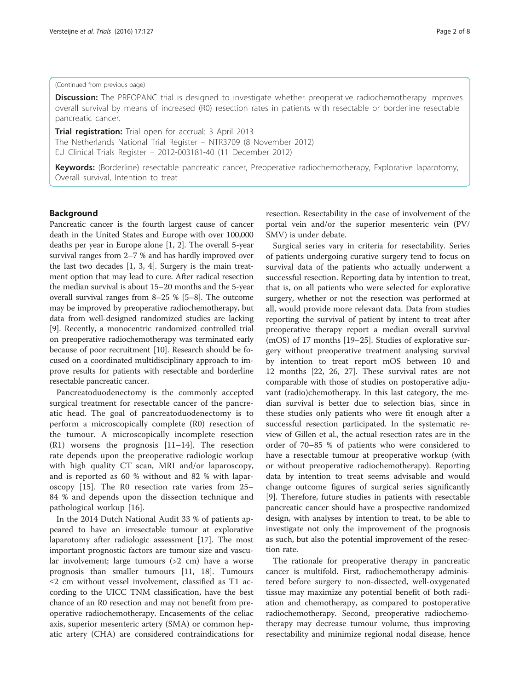#### (Continued from previous page)

**Discussion:** The PREOPANC trial is designed to investigate whether preoperative radiochemotherapy improves overall survival by means of increased (R0) resection rates in patients with resectable or borderline resectable pancreatic cancer.

Trial registration: Trial open for accrual: 3 April 2013 The Netherlands National Trial Register – [NTR3709](http://www.trialregister.nl/trialreg/admin/rctview.asp?TC=3709) (8 November 2012) EU Clinical Trials Register – [2012-003181-40](https://www.clinicaltrialsregister.eu/ctr-search/trial/2012-003181-40/NL) (11 December 2012)

**Keywords:** (Borderline) resectable pancreatic cancer, Preoperative radiochemotherapy, Explorative laparotomy, Overall survival, Intention to treat

# Background

Pancreatic cancer is the fourth largest cause of cancer death in the United States and Europe with over 100,000 deaths per year in Europe alone [\[1, 2](#page-6-0)]. The overall 5-year survival ranges from 2–7 % and has hardly improved over the last two decades [[1, 3, 4](#page-6-0)]. Surgery is the main treatment option that may lead to cure. After radical resection the median survival is about 15–20 months and the 5-year overall survival ranges from 8–25 % [[5](#page-6-0)–[8](#page-6-0)]. The outcome may be improved by preoperative radiochemotherapy, but data from well-designed randomized studies are lacking [[9\]](#page-6-0). Recently, a monocentric randomized controlled trial on preoperative radiochemotherapy was terminated early because of poor recruitment [[10\]](#page-6-0). Research should be focused on a coordinated multidisciplinary approach to improve results for patients with resectable and borderline resectable pancreatic cancer.

Pancreatoduodenectomy is the commonly accepted surgical treatment for resectable cancer of the pancreatic head. The goal of pancreatoduodenectomy is to perform a microscopically complete (R0) resection of the tumour. A microscopically incomplete resection (R1) worsens the prognosis [\[11](#page-6-0)–[14](#page-6-0)]. The resection rate depends upon the preoperative radiologic workup with high quality CT scan, MRI and/or laparoscopy, and is reported as 60 % without and 82 % with laparoscopy [\[15](#page-6-0)]. The R0 resection rate varies from 25– 84 % and depends upon the dissection technique and pathological workup [[16](#page-6-0)].

In the 2014 Dutch National Audit 33 % of patients appeared to have an irresectable tumour at explorative laparotomy after radiologic assessment [\[17](#page-6-0)]. The most important prognostic factors are tumour size and vascular involvement; large tumours (>2 cm) have a worse prognosis than smaller tumours [[11, 18\]](#page-6-0). Tumours ≤2 cm without vessel involvement, classified as T1 according to the UICC TNM classification, have the best chance of an R0 resection and may not benefit from preoperative radiochemotherapy. Encasements of the celiac axis, superior mesenteric artery (SMA) or common hepatic artery (CHA) are considered contraindications for resection. Resectability in the case of involvement of the portal vein and/or the superior mesenteric vein (PV/ SMV) is under debate.

Surgical series vary in criteria for resectability. Series of patients undergoing curative surgery tend to focus on survival data of the patients who actually underwent a successful resection. Reporting data by intention to treat, that is, on all patients who were selected for explorative surgery, whether or not the resection was performed at all, would provide more relevant data. Data from studies reporting the survival of patient by intent to treat after preoperative therapy report a median overall survival (mOS) of 17 months [[19](#page-6-0)–[25](#page-7-0)]. Studies of explorative surgery without preoperative treatment analysing survival by intention to treat report mOS between 10 and 12 months [[22](#page-7-0), [26, 27](#page-7-0)]. These survival rates are not comparable with those of studies on postoperative adjuvant (radio)chemotherapy. In this last category, the median survival is better due to selection bias, since in these studies only patients who were fit enough after a successful resection participated. In the systematic review of Gillen et al., the actual resection rates are in the order of 70–85 % of patients who were considered to have a resectable tumour at preoperative workup (with or without preoperative radiochemotherapy). Reporting data by intention to treat seems advisable and would change outcome figures of surgical series significantly [[9\]](#page-6-0). Therefore, future studies in patients with resectable pancreatic cancer should have a prospective randomized design, with analyses by intention to treat, to be able to investigate not only the improvement of the prognosis as such, but also the potential improvement of the resection rate.

The rationale for preoperative therapy in pancreatic cancer is multifold. First, radiochemotherapy administered before surgery to non-dissected, well-oxygenated tissue may maximize any potential benefit of both radiation and chemotherapy, as compared to postoperative radiochemotherapy. Second, preoperative radiochemotherapy may decrease tumour volume, thus improving resectability and minimize regional nodal disease, hence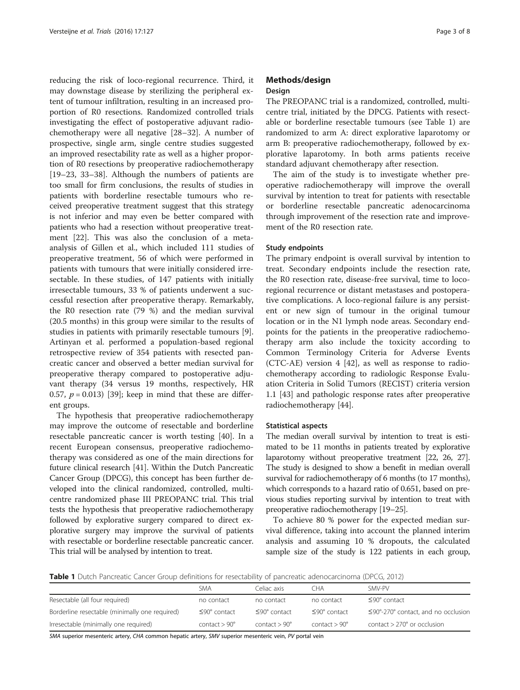<span id="page-2-0"></span>reducing the risk of loco-regional recurrence. Third, it may downstage disease by sterilizing the peripheral extent of tumour infiltration, resulting in an increased proportion of R0 resections. Randomized controlled trials investigating the effect of postoperative adjuvant radiochemotherapy were all negative [[28](#page-7-0)–[32](#page-7-0)]. A number of prospective, single arm, single centre studies suggested an improved resectability rate as well as a higher proportion of R0 resections by preoperative radiochemotherapy [[19](#page-6-0)–[23](#page-7-0), [33](#page-7-0)–[38\]](#page-7-0). Although the numbers of patients are too small for firm conclusions, the results of studies in patients with borderline resectable tumours who received preoperative treatment suggest that this strategy is not inferior and may even be better compared with patients who had a resection without preoperative treatment [[22\]](#page-7-0). This was also the conclusion of a metaanalysis of Gillen et al., which included 111 studies of preoperative treatment, 56 of which were performed in patients with tumours that were initially considered irresectable. In these studies, of 147 patients with initially irresectable tumours, 33 % of patients underwent a successful resection after preoperative therapy. Remarkably, the R0 resection rate (79 %) and the median survival (20.5 months) in this group were similar to the results of studies in patients with primarily resectable tumours [\[9](#page-6-0)]. Artinyan et al. performed a population-based regional retrospective review of 354 patients with resected pancreatic cancer and observed a better median survival for preoperative therapy compared to postoperative adjuvant therapy (34 versus 19 months, respectively, HR 0.57,  $p = 0.013$ ) [\[39\]](#page-7-0); keep in mind that these are different groups.

The hypothesis that preoperative radiochemotherapy may improve the outcome of resectable and borderline resectable pancreatic cancer is worth testing [\[40](#page-7-0)]. In a recent European consensus, preoperative radiochemotherapy was considered as one of the main directions for future clinical research [\[41\]](#page-7-0). Within the Dutch Pancreatic Cancer Group (DPCG), this concept has been further developed into the clinical randomized, controlled, multicentre randomized phase III PREOPANC trial. This trial tests the hypothesis that preoperative radiochemotherapy followed by explorative surgery compared to direct explorative surgery may improve the survival of patients with resectable or borderline resectable pancreatic cancer. This trial will be analysed by intention to treat.

# Methods/design Design

The PREOPANC trial is a randomized, controlled, multicentre trial, initiated by the DPCG. Patients with resectable or borderline resectable tumours (see Table 1) are randomized to arm A: direct explorative laparotomy or arm B: preoperative radiochemotherapy, followed by explorative laparotomy. In both arms patients receive standard adjuvant chemotherapy after resection.

The aim of the study is to investigate whether preoperative radiochemotherapy will improve the overall survival by intention to treat for patients with resectable or borderline resectable pancreatic adenocarcinoma through improvement of the resection rate and improvement of the R0 resection rate.

# Study endpoints

The primary endpoint is overall survival by intention to treat. Secondary endpoints include the resection rate, the R0 resection rate, disease-free survival, time to locoregional recurrence or distant metastases and postoperative complications. A loco-regional failure is any persistent or new sign of tumour in the original tumour location or in the N1 lymph node areas. Secondary endpoints for the patients in the preoperative radiochemotherapy arm also include the toxicity according to Common Terminology Criteria for Adverse Events (CTC-AE) version 4 [[42\]](#page-7-0), as well as response to radiochemotherapy according to radiologic Response Evaluation Criteria in Solid Tumors (RECIST) criteria version 1.1 [\[43](#page-7-0)] and pathologic response rates after preoperative radiochemotherapy [[44\]](#page-7-0).

#### Statistical aspects

The median overall survival by intention to treat is estimated to be 11 months in patients treated by explorative laparotomy without preoperative treatment [[22, 26, 27](#page-7-0)]. The study is designed to show a benefit in median overall survival for radiochemotherapy of 6 months (to 17 months), which corresponds to a hazard ratio of 0.651, based on previous studies reporting survival by intention to treat with preoperative radiochemotherapy [\[19](#page-6-0)–[25](#page-7-0)].

To achieve 80 % power for the expected median survival difference, taking into account the planned interim analysis and assuming 10 % dropouts, the calculated sample size of the study is 122 patients in each group,

**Table 1** Dutch Pancreatic Cancer Group definitions for resectability of pancreatic adenocarcinoma (DPCG, 2012)

|                                                | SMA                     | Celiac axis             | าีHA                      | SMV-PV                                    |
|------------------------------------------------|-------------------------|-------------------------|---------------------------|-------------------------------------------|
| Resectable (all four required)                 | no contact              | no contact              | no contact                | $\leq 90^\circ$ contact                   |
| Borderline resectable (minimally one required) | $\leq 90^\circ$ contact | $\leq 90^\circ$ contact | $\leq 90^{\circ}$ contact | $\leq$ 90°-270° contact, and no occlusion |
| Irresectable (minimally one required)          | contact $> 90^\circ$    | contact $> 90^\circ$    | contact $> 90^\circ$      | contact $> 270^\circ$ or occlusion        |

SMA superior mesenteric artery, CHA common hepatic artery, SMV superior mesenteric vein, PV portal vein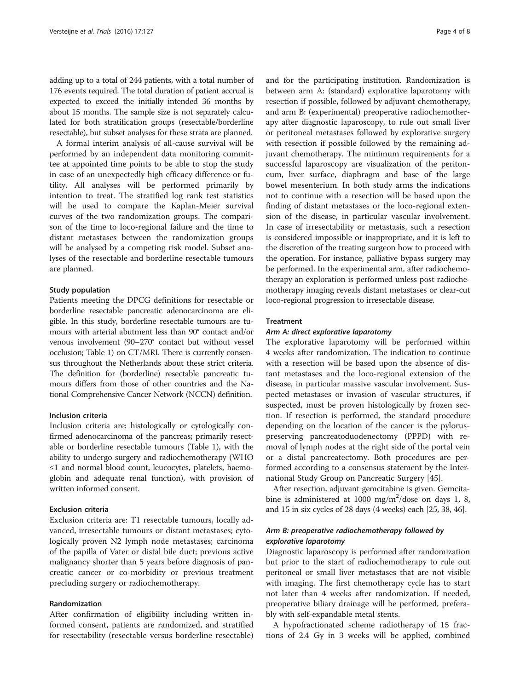adding up to a total of 244 patients, with a total number of 176 events required. The total duration of patient accrual is expected to exceed the initially intended 36 months by about 15 months. The sample size is not separately calculated for both stratification groups (resectable/borderline resectable), but subset analyses for these strata are planned.

A formal interim analysis of all-cause survival will be performed by an independent data monitoring committee at appointed time points to be able to stop the study in case of an unexpectedly high efficacy difference or futility. All analyses will be performed primarily by intention to treat. The stratified log rank test statistics will be used to compare the Kaplan-Meier survival curves of the two randomization groups. The comparison of the time to loco-regional failure and the time to distant metastases between the randomization groups will be analysed by a competing risk model. Subset analyses of the resectable and borderline resectable tumours are planned.

# Study population

Patients meeting the DPCG definitions for resectable or borderline resectable pancreatic adenocarcinoma are eligible. In this study, borderline resectable tumours are tumours with arterial abutment less than 90° contact and/or venous involvement (90–270° contact but without vessel occlusion; Table [1\)](#page-2-0) on CT/MRI. There is currently consensus throughout the Netherlands about these strict criteria. The definition for (borderline) resectable pancreatic tumours differs from those of other countries and the National Comprehensive Cancer Network (NCCN) definition.

#### Inclusion criteria

Inclusion criteria are: histologically or cytologically confirmed adenocarcinoma of the pancreas; primarily resectable or borderline resectable tumours (Table [1\)](#page-2-0), with the ability to undergo surgery and radiochemotherapy (WHO ≤1 and normal blood count, leucocytes, platelets, haemoglobin and adequate renal function), with provision of written informed consent.

# Exclusion criteria

Exclusion criteria are: T1 resectable tumours, locally advanced, irresectable tumours or distant metastases; cytologically proven N2 lymph node metastases; carcinoma of the papilla of Vater or distal bile duct; previous active malignancy shorter than 5 years before diagnosis of pancreatic cancer or co-morbidity or previous treatment precluding surgery or radiochemotherapy.

# Randomization

After confirmation of eligibility including written informed consent, patients are randomized, and stratified for resectability (resectable versus borderline resectable) and for the participating institution. Randomization is between arm A: (standard) explorative laparotomy with resection if possible, followed by adjuvant chemotherapy, and arm B: (experimental) preoperative radiochemotherapy after diagnostic laparoscopy, to rule out small liver or peritoneal metastases followed by explorative surgery with resection if possible followed by the remaining adjuvant chemotherapy. The minimum requirements for a successful laparoscopy are visualization of the peritoneum, liver surface, diaphragm and base of the large bowel mesenterium. In both study arms the indications not to continue with a resection will be based upon the finding of distant metastases or the loco-regional extension of the disease, in particular vascular involvement. In case of irresectability or metastasis, such a resection is considered impossible or inappropriate, and it is left to the discretion of the treating surgeon how to proceed with the operation. For instance, palliative bypass surgery may be performed. In the experimental arm, after radiochemotherapy an exploration is performed unless post radiochemotherapy imaging reveals distant metastases or clear-cut loco-regional progression to irresectable disease.

#### **Treatment**

#### Arm A: direct explorative laparotomy

The explorative laparotomy will be performed within 4 weeks after randomization. The indication to continue with a resection will be based upon the absence of distant metastases and the loco-regional extension of the disease, in particular massive vascular involvement. Suspected metastases or invasion of vascular structures, if suspected, must be proven histologically by frozen section. If resection is performed, the standard procedure depending on the location of the cancer is the pyloruspreserving pancreatoduodenectomy (PPPD) with removal of lymph nodes at the right side of the portal vein or a distal pancreatectomy. Both procedures are performed according to a consensus statement by the International Study Group on Pancreatic Surgery [\[45](#page-7-0)].

After resection, adjuvant gemcitabine is given. Gemcitabine is administered at  $1000 \text{ mg/m}^2/\text{dose}$  on days 1, 8, and 15 in six cycles of 28 days (4 weeks) each [\[25, 38](#page-7-0), [46\]](#page-7-0).

# Arm B: preoperative radiochemotherapy followed by explorative laparotomy

Diagnostic laparoscopy is performed after randomization but prior to the start of radiochemotherapy to rule out peritoneal or small liver metastases that are not visible with imaging. The first chemotherapy cycle has to start not later than 4 weeks after randomization. If needed, preoperative biliary drainage will be performed, preferably with self-expandable metal stents.

A hypofractionated scheme radiotherapy of 15 fractions of 2.4 Gy in 3 weeks will be applied, combined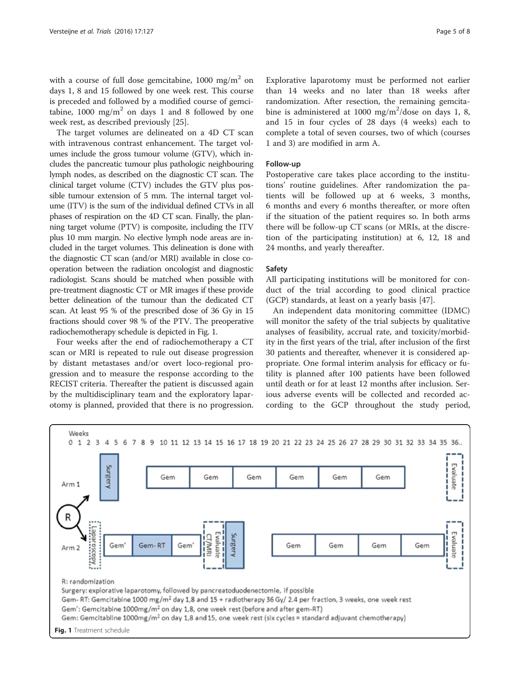with a course of full dose gemcitabine,  $1000 \text{ mg/m}^2$  on days 1, 8 and 15 followed by one week rest. This course is preceded and followed by a modified course of gemcitabine,  $1000 \text{ mg/m}^2$  on days 1 and 8 followed by one week rest, as described previously [\[25\]](#page-7-0).

The target volumes are delineated on a 4D CT scan with intravenous contrast enhancement. The target volumes include the gross tumour volume (GTV), which includes the pancreatic tumour plus pathologic neighbouring lymph nodes, as described on the diagnostic CT scan. The clinical target volume (CTV) includes the GTV plus possible tumour extension of 5 mm. The internal target volume (ITV) is the sum of the individual defined CTVs in all phases of respiration on the 4D CT scan. Finally, the planning target volume (PTV) is composite, including the ITV plus 10 mm margin. No elective lymph node areas are included in the target volumes. This delineation is done with the diagnostic CT scan (and/or MRI) available in close cooperation between the radiation oncologist and diagnostic radiologist. Scans should be matched when possible with pre-treatment diagnostic CT or MR images if these provide better delineation of the tumour than the dedicated CT scan. At least 95 % of the prescribed dose of 36 Gy in 15 fractions should cover 98 % of the PTV. The preoperative radiochemotherapy schedule is depicted in Fig. 1.

Four weeks after the end of radiochemotherapy a CT scan or MRI is repeated to rule out disease progression by distant metastases and/or overt loco-regional progression and to measure the response according to the RECIST criteria. Thereafter the patient is discussed again by the multidisciplinary team and the exploratory laparotomy is planned, provided that there is no progression.

Explorative laparotomy must be performed not earlier than 14 weeks and no later than 18 weeks after randomization. After resection, the remaining gemcitabine is administered at 1000 mg/m<sup>2</sup>/dose on days 1, 8, and 15 in four cycles of 28 days (4 weeks) each to complete a total of seven courses, two of which (courses 1 and 3) are modified in arm A.

#### Follow-up

Postoperative care takes place according to the institutions' routine guidelines. After randomization the patients will be followed up at 6 weeks, 3 months, 6 months and every 6 months thereafter, or more often if the situation of the patient requires so. In both arms there will be follow-up CT scans (or MRIs, at the discretion of the participating institution) at 6, 12, 18 and 24 months, and yearly thereafter.

#### Safety

All participating institutions will be monitored for conduct of the trial according to good clinical practice (GCP) standards, at least on a yearly basis [\[47](#page-7-0)].

An independent data monitoring committee (IDMC) will monitor the safety of the trial subjects by qualitative analyses of feasibility, accrual rate, and toxicity/morbidity in the first years of the trial, after inclusion of the first 30 patients and thereafter, whenever it is considered appropriate. One formal interim analysis for efficacy or futility is planned after 100 patients have been followed until death or for at least 12 months after inclusion. Serious adverse events will be collected and recorded according to the GCP throughout the study period,

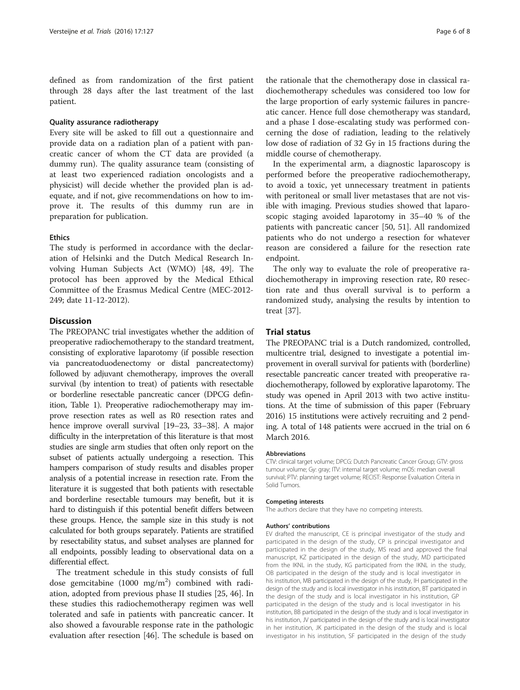defined as from randomization of the first patient through 28 days after the last treatment of the last patient.

# Quality assurance radiotherapy

Every site will be asked to fill out a questionnaire and provide data on a radiation plan of a patient with pancreatic cancer of whom the CT data are provided (a dummy run). The quality assurance team (consisting of at least two experienced radiation oncologists and a physicist) will decide whether the provided plan is adequate, and if not, give recommendations on how to improve it. The results of this dummy run are in preparation for publication.

#### **Ethics**

The study is performed in accordance with the declaration of Helsinki and the Dutch Medical Research Involving Human Subjects Act (WMO) [\[48, 49](#page-7-0)]. The protocol has been approved by the Medical Ethical Committee of the Erasmus Medical Centre (MEC-2012- 249; date 11-12-2012).

# **Discussion**

The PREOPANC trial investigates whether the addition of preoperative radiochemotherapy to the standard treatment, consisting of explorative laparotomy (if possible resection via pancreatoduodenectomy or distal pancreatectomy) followed by adjuvant chemotherapy, improves the overall survival (by intention to treat) of patients with resectable or borderline resectable pancreatic cancer (DPCG definition, Table [1](#page-2-0)). Preoperative radiochemotherapy may improve resection rates as well as R0 resection rates and hence improve overall survival [\[19](#page-6-0)–[23, 33](#page-7-0)–[38](#page-7-0)]. A major difficulty in the interpretation of this literature is that most studies are single arm studies that often only report on the subset of patients actually undergoing a resection. This hampers comparison of study results and disables proper analysis of a potential increase in resection rate. From the literature it is suggested that both patients with resectable and borderline resectable tumours may benefit, but it is hard to distinguish if this potential benefit differs between these groups. Hence, the sample size in this study is not calculated for both groups separately. Patients are stratified by resectability status, and subset analyses are planned for all endpoints, possibly leading to observational data on a differential effect.

The treatment schedule in this study consists of full dose gemcitabine (1000 mg/m<sup>2</sup>) combined with radiation, adopted from previous phase II studies [[25, 46\]](#page-7-0). In these studies this radiochemotherapy regimen was well tolerated and safe in patients with pancreatic cancer. It also showed a favourable response rate in the pathologic evaluation after resection [\[46](#page-7-0)]. The schedule is based on

the rationale that the chemotherapy dose in classical radiochemotherapy schedules was considered too low for the large proportion of early systemic failures in pancreatic cancer. Hence full dose chemotherapy was standard, and a phase I dose-escalating study was performed concerning the dose of radiation, leading to the relatively low dose of radiation of 32 Gy in 15 fractions during the middle course of chemotherapy.

In the experimental arm, a diagnostic laparoscopy is performed before the preoperative radiochemotherapy, to avoid a toxic, yet unnecessary treatment in patients with peritoneal or small liver metastases that are not visible with imaging. Previous studies showed that laparoscopic staging avoided laparotomy in 35–40 % of the patients with pancreatic cancer [[50](#page-7-0), [51\]](#page-7-0). All randomized patients who do not undergo a resection for whatever reason are considered a failure for the resection rate endpoint.

The only way to evaluate the role of preoperative radiochemotherapy in improving resection rate, R0 resection rate and thus overall survival is to perform a randomized study, analysing the results by intention to treat [[37](#page-7-0)].

# Trial status

The PREOPANC trial is a Dutch randomized, controlled, multicentre trial, designed to investigate a potential improvement in overall survival for patients with (borderline) resectable pancreatic cancer treated with preoperative radiochemotherapy, followed by explorative laparotomy. The study was opened in April 2013 with two active institutions. At the time of submission of this paper (February 2016) 15 institutions were actively recruiting and 2 pending. A total of 148 patients were accrued in the trial on 6 March 2016.

#### Abbreviations

CTV: clinical target volume; DPCG: Dutch Pancreatic Cancer Group; GTV: gross tumour volume; Gy: gray; ITV: internal target volume; mOS: median overall survival; PTV: planning target volume; RECIST: Response Evaluation Criteria in Solid Tumors.

#### Competing interests

The authors declare that they have no competing interests.

#### Authors' contributions

EV drafted the manuscript, CE is principal investigator of the study and participated in the design of the study, CP is principal investigator and participated in the design of the study, MS read and approved the final manuscript, KZ participated in the design of the study, MD participated from the IKNL in the study, KG participated from the IKNL in the study, OB participated in the design of the study and is local investigator in his institution, MB participated in the design of the study, IH participated in the design of the study and is local investigator in his institution, BT participated in the design of the study and is local investigator in his institution, GP participated in the design of the study and is local investigator in his institution, BB participated in the design of the study and is local investigator in his institution, JV participated in the design of the study and is local investigator in her institution, JK participated in the design of the study and is local investigator in his institution, SF participated in the design of the study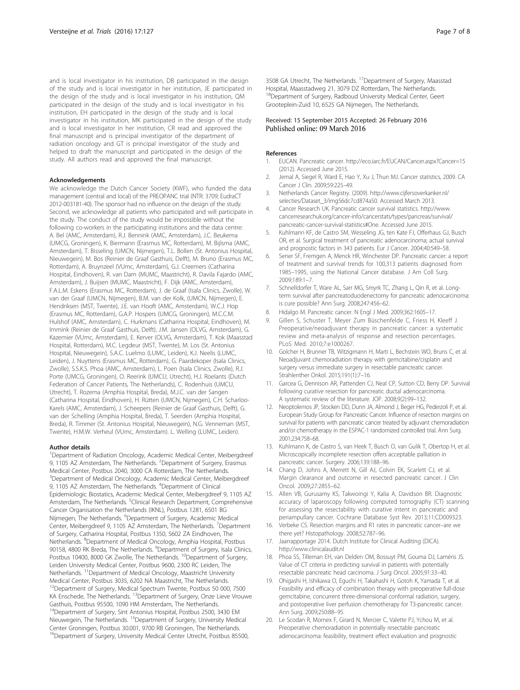<span id="page-6-0"></span>and is local investigator in his institution, DB participated in the design of the study and is local investigator in her institution, JE participated in the design of the study and is local investigator in his institution, QM participated in the design of the study and is local investigator in his institution, EH participated in the design of the study and is local investigator in his institution, MK participated in the design of the study and is local investigator in her institution, CR read and approved the final manuscript and is principal investigator of the department of radiation oncology and GT is principal investigator of the study and helped to draft the manuscript and participated in the design of the study. All authors read and approved the final manuscript.

#### Acknowledgements

We acknowledge the Dutch Cancer Society (KWF), who funded the data management (central and local) of the PREOPANC trial (NTR: 3709; EudraCT 2012-003181-40). The sponsor had no influence on the design of the study. Second, we acknowledge all patients who participated and will participate in the study. The conduct of the study would be impossible without the following co-workers in the participating institutions and the data centre: A. Bel (AMC, Amsterdam), R.J. Bennink (AMC, Amsterdam), J.C. Beukema (UMCG, Groningen), K. Biermann (Erasmus MC, Rotterdam), M. Bijlsma (AMC, Amsterdam), T. Bisseling (UMCN, Nijmegen), T.L. Bollen (St. Antonius Hospital, Nieuwegein), M. Bos (Reinier de Graaf Gasthuis, Delft), M. Bruno (Erasmus MC, Rotterdam), A. Bruynzeel (VUmc, Amsterdam), G.J. Creemers (Catharina Hospital, Eindhoven), R. van Dam (MUMC, Maastricht), R. Davila Fajardo (AMC, Amsterdam), J. Buijsen (MUMC, Maastricht), F. Dijk (AMC, Amsterdam), F.A.L.M. Eskens (Erasmus MC, Rotterdam), J. de Graaf (Isala Clinics, Zwolle), W. van der Graaf (UMCN, Nijmegen), B.M. van der Kolk, (UMCN, Nijmegen), E. Hendriksen (MST, Twente), J.E. van Hooft (AMC, Amsterdam), W.C.J. Hop (Erasmus MC, Rotterdam), G.A.P. Hospers (UMCG, Groningen), M.C.C.M. Hulshof (AMC, Amsterdam), C. Hurkmans (Catharina Hospital, Eindhoven), M. Immink (Reinier de Graaf Gasthuis, Delft), J.M. Jansen (OLVG, Amsterdam), G. Kazemier (VUmc, Amsterdam), E. Kerver (OLVG, Amsterdam), T. Kok (Maasstad Hospital, Rotterdam), M.C. Legdeur (MST, Twente), M. Los (St. Antonius Hospital, Nieuwegein), S.A.C. Luelmo (LUMC, Leiden), K.J. Neelis (LUMC, Leiden), J. Nuyttens (Erasmus MC, Rotterdam), G. Paardekoper (Isala Clinics, Zwolle), S.S.K.S. Phoa (AMC, Amsterdam), L. Poen (Isala Clinics, Zwolle), R.J. Porte (UMCG, Groningen), O. Reerink (UMCU, Utrecht), H.J. Roelants (Dutch Federation of Cancer Patients, The Netherlands), C. Rodenhuis (UMCU, Utrecht), T. Rozema (Amphia Hospital, Breda), M.J.C. van der Sangen (Catharina Hospital, Eindhoven), H. Rütten (UMCN, Nijmegen), C.H. Scharloo-Karels (AMC, Amsterdam), J. Scheepers (Reinier de Graaf Gasthuis, Delft), G. van der Schelling (Amphia Hospital, Breda), T. Seerden (Amphia Hospital, Breda), R. Timmer (St. Antonius Hospital, Nieuwegein), N.G. Venneman (MST, Twente), H.M.W. Verheul (VUmc, Amsterdam). L. Welling (LUMC, Leiden).

#### Author details

<sup>1</sup>Department of Radiation Oncology, Academic Medical Center, Meibergdreef 9, 1105 AZ Amsterdam, The Netherlands. <sup>2</sup>Department of Surgery, Erasmus Medical Center, Postbus 2040, 3000 CA Rotterdam, The Netherlands. <sup>3</sup>Department of Medical Oncology, Academic Medical Center, Meibergdreef 9, 1105 AZ Amsterdam, The Netherlands. <sup>4</sup>Department of Clinical Epidemiologic Biostatics, Academic Medical Center, Meibergdreef 9, 1105 AZ Amsterdam, The Netherlands. <sup>5</sup>Clinical Research Department, Comprehensive Cancer Organisation the Netherlands (IKNL), Postbus 1281, 6501 BG Nijmegen, The Netherlands. <sup>6</sup>Department of Surgery, Academic Medical Center, Meibergdreef 9, 1105 AZ Amsterdam, The Netherlands. <sup>7</sup>Department of Surgery, Catharina Hospital, Postbus 1350, 5602 ZA Eindhoven, The Netherlands. <sup>8</sup>Department of Medical Oncology, Amphia Hospital, Postbus 90158, 4800 RK Breda, The Netherlands. <sup>9</sup>Department of Surgery, Isala Clinics, Postbus 10400, 8000 GK Zwolle, The Netherlands. <sup>10</sup>Department of Surgery, Leiden University Medical Center, Postbus 9600, 2300 RC Leiden, The Netherlands. 11Department of Medical Oncology, Maastricht University Medical Center, Postbus 3035, 6202 NA Maastricht, The Netherlands. <sup>12</sup>Department of Surgery, Medical Spectrum Twente, Postbus 50 000, 7500 KA Enschede, The Netherlands. 13Department of Surgery, Onze Lieve Vrouwe Gasthuis, Postbus 95500, 1090 HM Amsterdam, The Netherlands. <sup>14</sup>Department of Surgery, Sint Antonius Hospital, Postbus 2500, 3430 EM Nieuwegein, The Netherlands. <sup>15</sup>Department of Surgery, University Medical Center Groningen, Postbus 30.001, 9700 RB Groningen, The Netherlands. <sup>16</sup>Department of Surgery, University Medical Center Utrecht, Postbus 85500,

3508 GA Utrecht, The Netherlands. 17Department of Surgery, Maasstad Hospital, Maasstadweg 21, 3079 DZ Rotterdam, The Netherlands. <sup>18</sup>Department of Surgery, Radboud University Medical Center, Geert Grooteplein-Zuid 10, 6525 GA Nijmegen, The Netherlands.

#### Received: 15 September 2015 Accepted: 26 February 2016 Published online: 09 March 2016

#### References

- 1. EUCAN. Pancreatic cancer.<http://eco.iarc.fr/EUCAN/Cancer.aspx?Cancer=15> (2012). Accessed June 2015.
- 2. Jemal A, Siegel R, Ward E, Hao Y, Xu J, Thun MJ. Cancer statistics, 2009. CA Cancer J Clin. 2009;59:225–49.
- 3. Netherlands Cancer Registry. (2009). [http://www.cijfersoverkanker.nl/](http://www.cijfersoverkanker.nl/selecties/Dataset_3/img56dc7cd874a50) [selecties/Dataset\\_3/img56dc7cd874a50](http://www.cijfersoverkanker.nl/selecties/Dataset_3/img56dc7cd874a50). Accessed March 2013.
- 4. Cancer Research UK. Pancreatic cancer survival statistics. [http://www.](http://www.cancerresearchuk.org/cancer-info/cancerstats/types/pancreas/survival/pancreatic-cancer-survival-statistics#One) [cancerresearchuk.org/cancer-info/cancerstats/types/pancreas/survival/](http://www.cancerresearchuk.org/cancer-info/cancerstats/types/pancreas/survival/pancreatic-cancer-survival-statistics#One) [pancreatic-cancer-survival-statistics#One.](http://www.cancerresearchuk.org/cancer-info/cancerstats/types/pancreas/survival/pancreatic-cancer-survival-statistics#One) Accessed June 2015.
- 5. Kuhlmann KF, de Castro SM, Wesseling JG, ten Kate FJ, Offerhaus GJ, Busch OR, et al. Surgical treatment of pancreatic adenocarcinoma; actual survival and prognostic factors in 343 patients. Eur J Cancer. 2004;40:549–58.
- 6. Sener SF, Fremgen A, Menck HR, Winchester DP. Pancreatic cancer: a report of treatment and survival trends for 100,313 patients diagnosed from 1985–1995, using the National Cancer database. J Am Coll Surg. 2009;189:1–7.
- 7. Schnelldorfer T, Ware AL, Sarr MG, Smyrk TC, Zhang L, Qin R, et al. Longterm survival after pancreatoduodenectomy for pancreatic adenocarcinoma: is cure possible? Ann Surg. 2008;247:456–62.
- 8. Hidalgo M. Pancreatic cancer. N Engl J Med. 2009;362:1605–17.
- 9. Gillen S, Schuster T, Meyer Zum Büschenfelde C, Friess H, Kleeff J. Preoperative/neoadjuvant therapy in pancreatic cancer: a systematic review and meta-analysis of response and resection percentages. PLoS Med. 2010;7:e1000267.
- 10. Golcher H, Brunner TB, Witzigmann H, Marti L, Bechstein WO, Bruns C, et al. Neoadjuvant chemoradiation therapy with gemcitabine/cisplatin and surgery versus immediate surgery in resectable pancreatic cancer. Strahlenther Onkol. 2015;191(1):7–16.
- 11. Garcea G, Dennison AR, Pattenden CJ, Neal CP, Sutton CD, Berry DP. Survival following curative resection for pancreatic ductal adenocarcinoma. A systematic review of the literature. JOP. 2008;9(2):99–132.
- 12. Neoptolemos JP, Stocken DD, Dunn JA, Almond J, Beger HG, Pederzoli P, et al. European Study Group for Pancreatic Cancer. Influence of resection margins on survival for patients with pancreatic cancer treated by adjuvant chemoradiation and/or chemotherapy in the ESPAC-1 randomized controlled trial. Ann Surg. 2001;234:758–68.
- 13. Kuhlmann K, de Castro S, van Heek T, Busch O, van Gulik T, Obertop H, et al. Microscopically incomplete resection offers acceptable palliation in pancreatic cancer. Surgery. 2006;139:188–96.
- 14. Chang D, Johns A, Merrett N, Gill AJ, Colvin EK, Scarlett CJ, et al. Margin clearance and outcome in resected pancreatic cancer. J Clin Oncol. 2009;27:2855–62.
- 15. Allen VB, Gurusamy KS, Takwoingi Y, Kalia A, Davidson BR. Diagnostic accuracy of laparoscopy following computed tomography (CT) scanning for assessing the resectability with curative intent in pancreatic and periampullary cancer. Cochrane Database Syst Rev. 2013;11:CD009323.
- 16. Verbeke CS. Resection margins and R1 rates in pancreatic cancer–are we there yet? Histopathology. 2008;52:787–96.
- 17. Jaarrapportage 2014. Dutch Institute for Clinical Auditing (DICA). [http://www.clinicalaudit.nl](http://www.clinicalaudit.nl/)
- 18. Phoa SS, Tilleman EH, van Delden OM, Bossuyt PM, Gouma DJ, Laméris JS. Value of CT criteria in predicting survival in patients with potentially resectable pancreatic head carcinoma. J Surg Oncol. 2005;91:33–40.
- 19. Ohigashi H, Ishikawa O, Eguchi H, Takahashi H, Gotoh K, Yamada T, et al. Feasibility and efficacy of combination therapy with preoperative full-dose gemcitabine, concurrent three-dimensional conformal radiation, surgery, and postoperative liver perfusion chemotherapy for T3-pancreatic cancer. Ann Surg. 2009;250:88–95.
- 20. Le Scodan R, Mornex F, Girard N, Mercier C, Valette PJ, Ychou M, et al. Preoperative chemoradiation in potentially resectable pancreatic adenocarcinoma: feasibility, treatment effect evaluation and prognostic